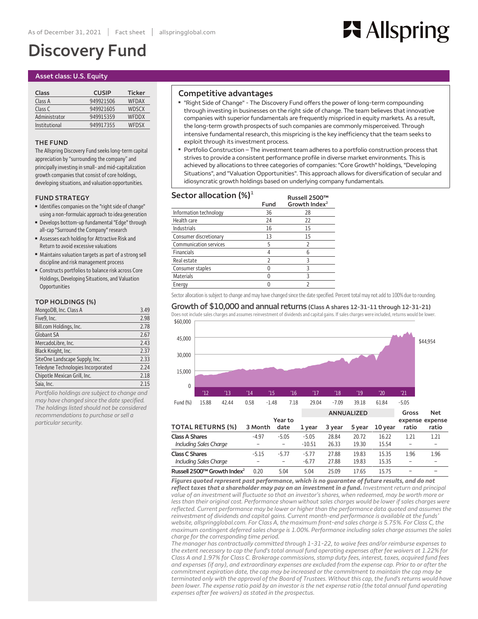# **Discovery Fund**

## **Asset class: U.S. Equity**

| Class         | <b>CUSIP</b> | <b>Ticker</b> |
|---------------|--------------|---------------|
| Class A       | 949921506    | <b>WFDAX</b>  |
| Class C       | 949921605    | <b>WDSCX</b>  |
| Administrator | 949915359    | WEDDX         |
| Institutional | 949917355    | <b>WEDSX</b>  |

## **THE FUND**

**The Allspring Discovery Fund seekslong-term capital appreciation by"surrounding the company"and principallyinvesting in small-andmid-capitalization growth companiesthatconsist ofcore holdings, developing situations,and valuation opportunities.**

#### **FUND STRATEGY**

- **■ Identifiescompanies on the "rightside ofchange" using a non-formulaicapproach to idea generation**
- **■ Develops bottom-up fundamental "Edge" through all-cap "Surround the Company" research**
- **■ Assesses each holding for Attractive Risk and Return to avoid excessive valuations**
- **Maintains valuation targets as part of a strong sell discipline and riskmanagement process**
- **■ Constructs portfoliosto balance risk across Core Holdings, Developing Situations,and Valuation Opportunities**

## **TOP HOLDINGS (%)**

| MongoDB, Inc. Class A              | 3.49 |
|------------------------------------|------|
| Five9, Inc.                        | 2.98 |
| Bill.com Holdings, Inc.            | 2.78 |
| <b>Globant SA</b>                  | 2.67 |
| MercadoLibre, Inc.                 | 2.43 |
| Black Knight, Inc.                 | 2.37 |
| SiteOne Landscape Supply, Inc.     | 2.33 |
| Teledyne Technologies Incorporated | 2.24 |
| Chipotle Mexican Grill, Inc.       | 2.18 |
| Saia, Inc.                         | 2.15 |

*Portfolio holdings are subject to change and may have changed since the date specified. The holdings listed should not be considered recommendations to purchase orsell a particularsecurity.*

# **Competitive advantages**

**■ "Right Side of Change" - The Discovery Fund offers the power oflong-term compounding through investing in businesses on the right side of change. The team believes that innovative companies with superior fundamentals are frequently mispriced in equity markets. As a result, the long-term growth prospects of such companies are commonly misperceived. Through intensive fundamentalresearch, this mispricing is the key inefficiency that the team seeks to exploit through its investment process.**

**H** Allspring

**■ Portfolio Construction – The investment team adheres to a portfolio construction process that strives to provide a consistent performance profile in diverse market environments. This is achieved by allocations to three categories of companies: "Core Growth" holdings, "Developing Situations", and "Valuation Opportunities". This approach allows for diversification of secular and idiosyncratic growth holdings based on underlying company fundamentals.**

| Sector allocation $(\%)^1$    |      | Russell 2500™             |
|-------------------------------|------|---------------------------|
|                               | Fund | Growth Index <sup>2</sup> |
| Information technology        | 36   | 28                        |
| Health care                   | 24   | 22                        |
| Industrials                   | 16   | 15                        |
| Consumer discretionary        | 13   | 15                        |
| <b>Communication services</b> | 5    | 2                         |
| <b>Financials</b>             |      | 6                         |
| Real estate                   | 2    | 3                         |
| Consumer staples              |      | 3                         |
| <b>Materials</b>              |      | 3                         |
| Energy                        |      |                           |

**Russell2500™ Growth Index<sup>2</sup>**

Sector allocation is subject to change and may have changed since the date specified. Percent total may not add to 100% due to rounding.

#### **Growth of \$10,000 and annualreturns (Class A shares 12-31-11 through 12-31-21)**

**\$60,000** Does not include sales charges and assumes reinvestment of dividends and capital gains. If sales charges were included, returns would be lower.



*Figures quoted represent past performance, which is no guarantee of future results, and do not reflect taxes that a shareholder may pay on an investment in a fund. Investment return and principal* value of an investment will fluctuate so that an investor's shares, when redeemed, may be worth more or less than their original cost. Performance shown without sales charges would be lower if sales charges were *reflected. Current performance may be lower or higher than the performance data quoted and assumes the reinvestment of dividends and capital gains. Current month-end performance is available at the funds' website, allspringglobal.com. For Class A, the maximum front-end sales charge is 5.75%. For Class C, the maximum contingent deferred sales charge is 1.00%. Performance including sales charge assumes the sales charge for the corresponding time period.*

**0.20 5.04 5.04 25.09 17.65 15.75**

*The manager has contractually committed through 1-31-22, to waive fees and/or reimburse expenses to* the extent necessary to cap the fund's total annual fund operating expenses after fee waivers at 1.22% for Class A and 1.97% for Class C. Brokerage commissions, stamp duty fees, interest, taxes, acquired fund fees and expenses (if any), and extraordinary expenses are excluded from the expense cap. Prior to or after the *commitment expiration date, the cap may be increased or the commitment to maintain the cap may be* terminated only with the approval of the Board of Trustees. Without this cap, the fund's returns would have been lower. The expense ratio paid by an investor is the net expense ratio (the total annual fund operating *expenses after fee waivers) as stated in the prospectus.*